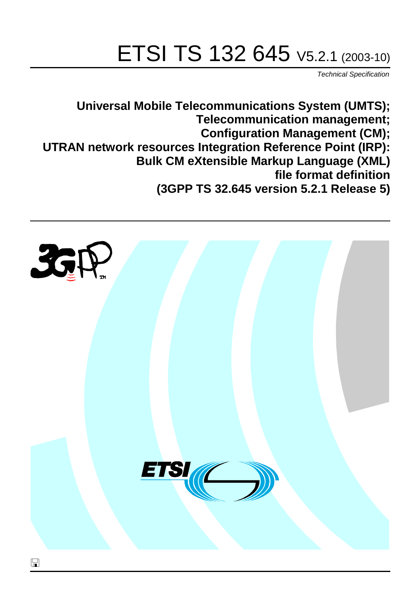# ETSI TS 132 645 V5.2.1 (2003-10)

Technical Specification

**Universal Mobile Telecommunications System (UMTS); Telecommunication management; Configuration Management (CM); UTRAN network resources Integration Reference Point (IRP): Bulk CM eXtensible Markup Language (XML) file format definition (3GPP TS 32.645 version 5.2.1 Release 5)**

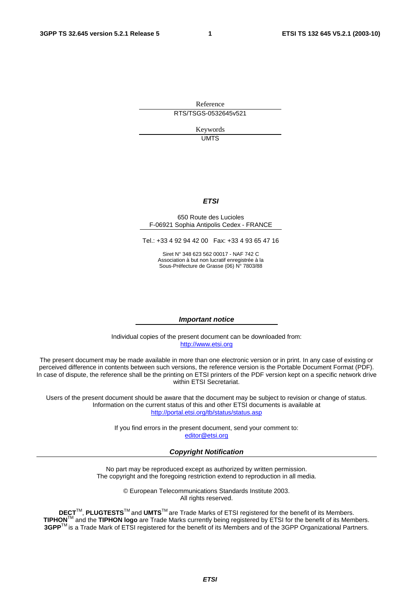Reference RTS/TSGS-0532645v521

> Keywords UMTS

#### **ETSI**

#### 650 Route des Lucioles F-06921 Sophia Antipolis Cedex - FRANCE

Tel.: +33 4 92 94 42 00 Fax: +33 4 93 65 47 16

Siret N° 348 623 562 00017 - NAF 742 C Association à but non lucratif enregistrée à la Sous-Préfecture de Grasse (06) N° 7803/88

#### **Important notice**

Individual copies of the present document can be downloaded from: [http://www.etsi.org](http://www.etsi.org/)

The present document may be made available in more than one electronic version or in print. In any case of existing or perceived difference in contents between such versions, the reference version is the Portable Document Format (PDF). In case of dispute, the reference shall be the printing on ETSI printers of the PDF version kept on a specific network drive within ETSI Secretariat.

Users of the present document should be aware that the document may be subject to revision or change of status. Information on the current status of this and other ETSI documents is available at <http://portal.etsi.org/tb/status/status.asp>

> If you find errors in the present document, send your comment to: [editor@etsi.org](mailto:editor@etsi.org)

#### **Copyright Notification**

No part may be reproduced except as authorized by written permission. The copyright and the foregoing restriction extend to reproduction in all media.

> © European Telecommunications Standards Institute 2003. All rights reserved.

**DECT**TM, **PLUGTESTS**TM and **UMTS**TM are Trade Marks of ETSI registered for the benefit of its Members. **TIPHON**TM and the **TIPHON logo** are Trade Marks currently being registered by ETSI for the benefit of its Members. **3GPP**TM is a Trade Mark of ETSI registered for the benefit of its Members and of the 3GPP Organizational Partners.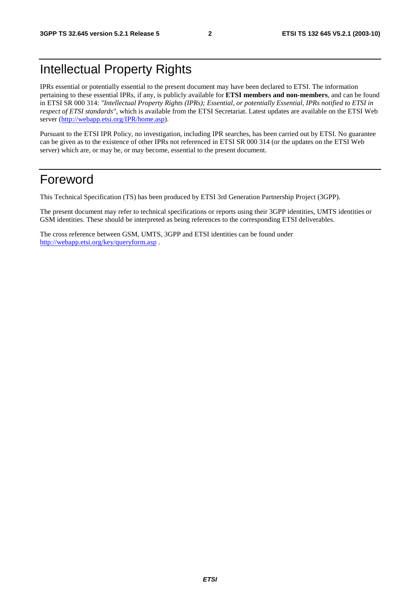### Intellectual Property Rights

IPRs essential or potentially essential to the present document may have been declared to ETSI. The information pertaining to these essential IPRs, if any, is publicly available for **ETSI members and non-members**, and can be found in ETSI SR 000 314: *"Intellectual Property Rights (IPRs); Essential, or potentially Essential, IPRs notified to ETSI in respect of ETSI standards"*, which is available from the ETSI Secretariat. Latest updates are available on the ETSI Web server ([http://webapp.etsi.org/IPR/home.asp\)](http://webapp.etsi.org/IPR/home.asp).

Pursuant to the ETSI IPR Policy, no investigation, including IPR searches, has been carried out by ETSI. No guarantee can be given as to the existence of other IPRs not referenced in ETSI SR 000 314 (or the updates on the ETSI Web server) which are, or may be, or may become, essential to the present document.

#### Foreword

This Technical Specification (TS) has been produced by ETSI 3rd Generation Partnership Project (3GPP).

The present document may refer to technical specifications or reports using their 3GPP identities, UMTS identities or GSM identities. These should be interpreted as being references to the corresponding ETSI deliverables.

The cross reference between GSM, UMTS, 3GPP and ETSI identities can be found under <http://webapp.etsi.org/key/queryform.asp>.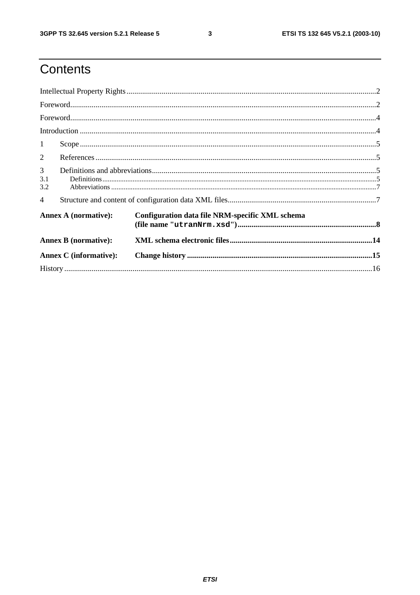ETSI TS 132 645 V5.2.1 (2003-10)

### Contents

| 1                             |                                                                                                                                                                                                                                                                                                                                                                                                                                                                                                        |                                                 |  |  |  |
|-------------------------------|--------------------------------------------------------------------------------------------------------------------------------------------------------------------------------------------------------------------------------------------------------------------------------------------------------------------------------------------------------------------------------------------------------------------------------------------------------------------------------------------------------|-------------------------------------------------|--|--|--|
| 2                             |                                                                                                                                                                                                                                                                                                                                                                                                                                                                                                        |                                                 |  |  |  |
| $\mathfrak{Z}$<br>3.1<br>3.2  | $\textbf{Definitions} \textcolor{red}{\textbf{15}} \textcolor{red}{\textbf{.16}} \textcolor{red}{\textbf{.17}} \textcolor{red}{\textbf{.17}} \textcolor{red}{\textbf{.17}} \textcolor{red}{\textbf{.17}} \textcolor{red}{\textbf{.17}} \textcolor{red}{\textbf{.17}} \textcolor{red}{\textbf{.17}} \textcolor{red}{\textbf{.17}} \textcolor{red}{\textbf{.17}} \textcolor{red}{\textbf{.17}} \textcolor{red}{\textbf{.17}} \textcolor{red}{\textbf{.17}} \textcolor{red}{\textbf{.17}} \textcolor{red$ |                                                 |  |  |  |
| $\overline{4}$                |                                                                                                                                                                                                                                                                                                                                                                                                                                                                                                        |                                                 |  |  |  |
| <b>Annex A (normative):</b>   |                                                                                                                                                                                                                                                                                                                                                                                                                                                                                                        | Configuration data file NRM-specific XML schema |  |  |  |
|                               | <b>Annex B</b> (normative):                                                                                                                                                                                                                                                                                                                                                                                                                                                                            |                                                 |  |  |  |
| <b>Annex C</b> (informative): |                                                                                                                                                                                                                                                                                                                                                                                                                                                                                                        |                                                 |  |  |  |
|                               |                                                                                                                                                                                                                                                                                                                                                                                                                                                                                                        |                                                 |  |  |  |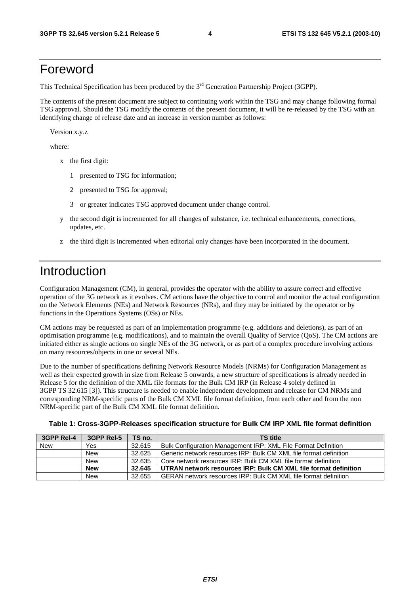#### Foreword

This Technical Specification has been produced by the 3<sup>rd</sup> Generation Partnership Project (3GPP).

The contents of the present document are subject to continuing work within the TSG and may change following formal TSG approval. Should the TSG modify the contents of the present document, it will be re-released by the TSG with an identifying change of release date and an increase in version number as follows:

Version x.y.z

where:

- x the first digit:
	- 1 presented to TSG for information;
	- 2 presented to TSG for approval;
	- 3 or greater indicates TSG approved document under change control.
- y the second digit is incremented for all changes of substance, i.e. technical enhancements, corrections, updates, etc.
- z the third digit is incremented when editorial only changes have been incorporated in the document.

#### Introduction

Configuration Management (CM), in general, provides the operator with the ability to assure correct and effective operation of the 3G network as it evolves. CM actions have the objective to control and monitor the actual configuration on the Network Elements (NEs) and Network Resources (NRs), and they may be initiated by the operator or by functions in the Operations Systems (OSs) or NEs.

CM actions may be requested as part of an implementation programme (e.g. additions and deletions), as part of an optimisation programme (e.g. modifications), and to maintain the overall Quality of Service (QoS). The CM actions are initiated either as single actions on single NEs of the 3G network, or as part of a complex procedure involving actions on many resources/objects in one or several NEs.

Due to the number of specifications defining Network Resource Models (NRMs) for Configuration Management as well as their expected growth in size from Release 5 onwards, a new structure of specifications is already needed in Release 5 for the definition of the XML file formats for the Bulk CM IRP (in Release 4 solely defined in 3GPP TS 32.615 [3]). This structure is needed to enable independent development and release for CM NRMs and corresponding NRM-specific parts of the Bulk CM XML file format definition, from each other and from the non NRM-specific part of the Bulk CM XML file format definition.

| Table 1: Cross-3GPP-Releases specification structure for Bulk CM IRP XML file format definition |
|-------------------------------------------------------------------------------------------------|
|-------------------------------------------------------------------------------------------------|

| 3GPP Rel-4 | 3GPP Rel-5 | TS no. | <b>TS title</b>                                                   |
|------------|------------|--------|-------------------------------------------------------------------|
| <b>New</b> | Yes        | 32.615 | Bulk Configuration Management IRP: XML File Format Definition     |
|            | New        | 32.625 | Generic network resources IRP: Bulk CM XML file format definition |
|            | New        | 32.635 | Core network resources IRP: Bulk CM XML file format definition    |
|            | <b>New</b> | 32.645 | UTRAN network resources IRP: Bulk CM XML file format definition   |
|            | New        | 32.655 | GERAN network resources IRP: Bulk CM XML file format definition   |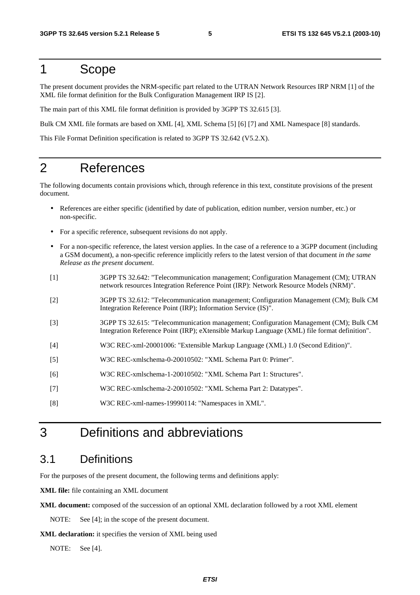#### 1 Scope

The present document provides the NRM-specific part related to the UTRAN Network Resources IRP NRM [1] of the XML file format definition for the Bulk Configuration Management IRP IS [2].

The main part of this XML file format definition is provided by 3GPP TS 32.615 [3].

Bulk CM XML file formats are based on XML [4], XML Schema [5] [6] [7] and XML Namespace [8] standards.

This File Format Definition specification is related to 3GPP TS 32.642 (V5.2.X).

#### 2 References

The following documents contain provisions which, through reference in this text, constitute provisions of the present document.

- References are either specific (identified by date of publication, edition number, version number, etc.) or non-specific.
- For a specific reference, subsequent revisions do not apply.
- For a non-specific reference, the latest version applies. In the case of a reference to a 3GPP document (including a GSM document), a non-specific reference implicitly refers to the latest version of that document *in the same Release as the present document*.
- [1] 3GPP TS 32.642: "Telecommunication management; Configuration Management (CM); UTRAN network resources Integration Reference Point (IRP): Network Resource Models (NRM)".
- [2] 3GPP TS 32.612: "Telecommunication management; Configuration Management (CM); Bulk CM Integration Reference Point (IRP); Information Service (IS)".
- [3] 3GPP TS 32.615: "Telecommunication management; Configuration Management (CM); Bulk CM Integration Reference Point (IRP); eXtensible Markup Language (XML) file format definition".
- [4] W3C REC-xml-20001006: "Extensible Markup Language (XML) 1.0 (Second Edition)".
- [5] W3C REC-xmlschema-0-20010502: "XML Schema Part 0: Primer".
- [6] W3C REC-xmlschema-1-20010502: "XML Schema Part 1: Structures".
- [7] W3C REC-xmlschema-2-20010502: "XML Schema Part 2: Datatypes".
- [8] W3C REC-xml-names-19990114: "Namespaces in XML".

#### 3 Definitions and abbreviations

#### 3.1 Definitions

For the purposes of the present document, the following terms and definitions apply:

**XML file:** file containing an XML document

**XML document:** composed of the succession of an optional XML declaration followed by a root XML element

NOTE: See [4]; in the scope of the present document.

**XML declaration:** it specifies the version of XML being used

NOTE: See [4].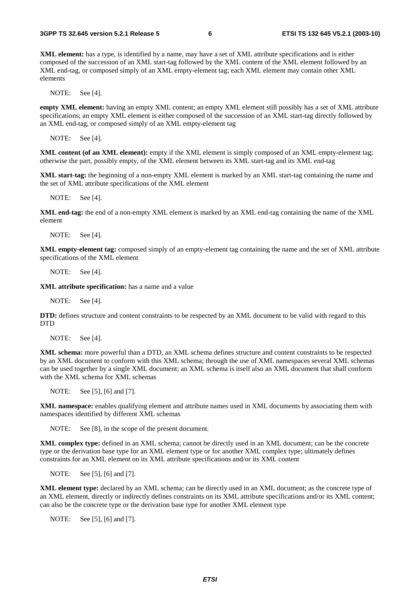**XML element:** has a type, is identified by a name, may have a set of XML attribute specifications and is either composed of the succession of an XML start-tag followed by the XML content of the XML element followed by an XML end-tag, or composed simply of an XML empty-element tag; each XML element may contain other XML elements

NOTE: See [4].

**empty XML element:** having an empty XML content; an empty XML element still possibly has a set of XML attribute specifications; an empty XML element is either composed of the succession of an XML start-tag directly followed by an XML end-tag, or composed simply of an XML empty-element tag

NOTE: See [4].

**XML content (of an XML element):** empty if the XML element is simply composed of an XML empty-element tag; otherwise the part, possibly empty, of the XML element between its XML start-tag and its XML end-tag

**XML start-tag:** the beginning of a non-empty XML element is marked by an XML start-tag containing the name and the set of XML attribute specifications of the XML element

NOTE: See [4].

**XML end-tag:** the end of a non-empty XML element is marked by an XML end-tag containing the name of the XML element

NOTE: See [4].

**XML empty-element tag:** composed simply of an empty-element tag containing the name and the set of XML attribute specifications of the XML element

NOTE: See [4].

**XML attribute specification:** has a name and a value

NOTE: See [4].

**DTD:** defines structure and content constraints to be respected by an XML document to be valid with regard to this **DTD** 

NOTE: See [4].

**XML schema:** more powerful than a DTD, an XML schema defines structure and content constraints to be respected by an XML document to conform with this XML schema; through the use of XML namespaces several XML schemas can be used together by a single XML document; an XML schema is itself also an XML document that shall conform with the XML schema for XML schemas

NOTE: See [5], [6] and [7].

**XML namespace:** enables qualifying element and attribute names used in XML documents by associating them with namespaces identified by different XML schemas

NOTE: See [8], in the scope of the present document.

**XML complex type:** defined in an XML schema; cannot be directly used in an XML document; can be the concrete type or the derivation base type for an XML element type or for another XML complex type; ultimately defines constraints for an XML element on its XML attribute specifications and/or its XML content

NOTE: See [5], [6] and [7].

**XML element type:** declared by an XML schema; can be directly used in an XML document; as the concrete type of an XML element, directly or indirectly defines constraints on its XML attribute specifications and/or its XML content; can also be the concrete type or the derivation base type for another XML element type

NOTE: See [5], [6] and [7].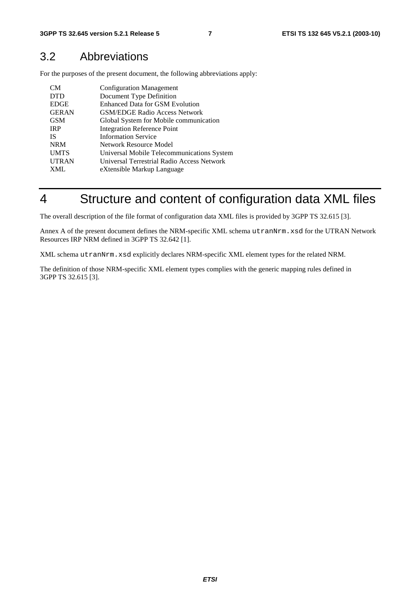#### 3.2 Abbreviations

For the purposes of the present document, the following abbreviations apply:

| CM.          | <b>Configuration Management</b>            |
|--------------|--------------------------------------------|
| <b>DTD</b>   | Document Type Definition                   |
| <b>EDGE</b>  | <b>Enhanced Data for GSM Evolution</b>     |
| <b>GERAN</b> | <b>GSM/EDGE Radio Access Network</b>       |
| <b>GSM</b>   | Global System for Mobile communication     |
| <b>IRP</b>   | <b>Integration Reference Point</b>         |
| <b>IS</b>    | <b>Information Service</b>                 |
| <b>NRM</b>   | Network Resource Model                     |
| <b>UMTS</b>  | Universal Mobile Telecommunications System |
| <b>UTRAN</b> | Universal Terrestrial Radio Access Network |
| XML          | eXtensible Markup Language                 |

### 4 Structure and content of configuration data XML files

The overall description of the file format of configuration data XML files is provided by 3GPP TS 32.615 [3].

Annex A of the present document defines the NRM-specific XML schema utranNrm.xsd for the UTRAN Network Resources IRP NRM defined in 3GPP TS 32.642 [1].

XML schema utranNrm.xsd explicitly declares NRM-specific XML element types for the related NRM.

The definition of those NRM-specific XML element types complies with the generic mapping rules defined in 3GPP TS 32.615 [3].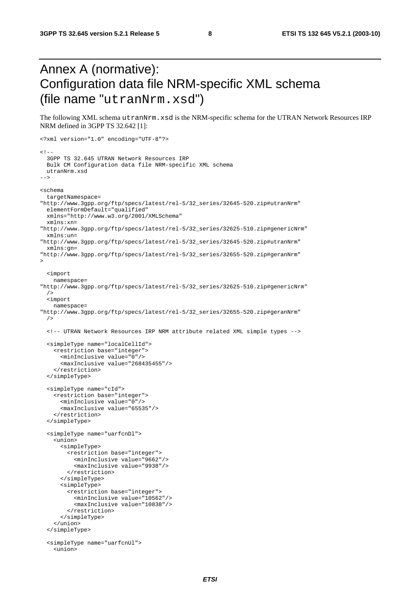### Annex A (normative): Configuration data file NRM-specific XML schema (file name "utranNrm.xsd")

The following XML schema utranNrm.xsd is the NRM-specific schema for the UTRAN Network Resources IRP NRM defined in 3GPP TS 32.642 [1]:

```
<?xml version="1.0" encoding="UTF-8"?> 
<! - 3GPP TS 32.645 UTRAN Network Resources IRP 
  Bulk CM Configuration data file NRM-specific XML schema 
  utranNrm.xsd 
--> 
<schema 
  targetNamespace= 
"http://www.3gpp.org/ftp/specs/latest/rel-5/32_series/32645-520.zip#utranNrm" 
  elementFormDefault="qualified" 
  xmlns="http://www.w3.org/2001/XMLSchema" 
   xmlns:xn= 
"http://www.3gpp.org/ftp/specs/latest/rel-5/32_series/32625-510.zip#genericNrm" 
   xmlns:un= 
"http://www.3gpp.org/ftp/specs/latest/rel-5/32_series/32645-520.zip#utranNrm" 
  xmlns:gn= 
"http://www.3gpp.org/ftp/specs/latest/rel-5/32_series/32655-520.zip#geranNrm" 
> 
   <import 
    namespace= 
"http://www.3gpp.org/ftp/specs/latest/rel-5/32_series/32625-510.zip#genericNrm" 
 /> 
   <import 
    namespace= 
"http://www.3gpp.org/ftp/specs/latest/rel-5/32_series/32655-520.zip#geranNrm" 
  / <!-- UTRAN Network Resources IRP NRM attribute related XML simple types --> 
   <simpleType name="localCellId"> 
     <restriction base="integer"> 
       <minInclusive value="0"/> 
       <maxInclusive value="268435455"/> 
     </restriction> 
   </simpleType> 
   <simpleType name="cId"> 
     <restriction base="integer"> 
       <minInclusive value="0"/> 
       <maxInclusive value="65535"/> 
     </restriction> 
   </simpleType> 
   <simpleType name="uarfcnDl"> 
     <union> 
       <simpleType> 
         <restriction base="integer"> 
           <minInclusive value="9662"/> 
           <maxInclusive value="9938"/> 
         </restriction> 
       </simpleType> 
       <simpleType> 
         <restriction base="integer"> 
           <minInclusive value="10562"/> 
           <maxInclusive value="10838"/> 
         </restriction> 
       </simpleType> 
     </union> 
   </simpleType> 
   <simpleType name="uarfcnUl"> 
     <union>
```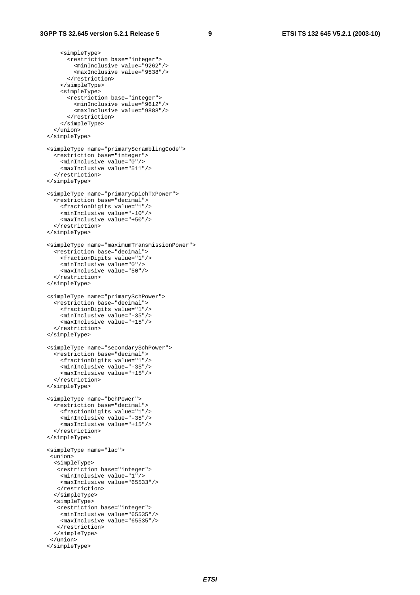```
 <simpleType> 
       <restriction base="integer"> 
         <minInclusive value="9262"/> 
         <maxInclusive value="9538"/> 
       </restriction> 
     </simpleType> 
     <simpleType> 
       <restriction base="integer"> 
         <minInclusive value="9612"/> 
          <maxInclusive value="9888"/> 
       </restriction> 
     </simpleType> 
   </union> 
 </simpleType> 
 <simpleType name="primaryScramblingCode"> 
   <restriction base="integer"> 
     <minInclusive value="0"/> 
     <maxInclusive value="511"/> 
   </restriction> 
 </simpleType> 
 <simpleType name="primaryCpichTxPower"> 
   <restriction base="decimal"> 
     <fractionDigits value="1"/> 
     <minInclusive value="-10"/> 
     <maxInclusive value="+50"/> 
   </restriction> 
 </simpleType> 
 <simpleType name="maximumTransmissionPower"> 
   <restriction base="decimal"> 
     <fractionDigits value="1"/> 
     <minInclusive value="0"/> 
     <maxInclusive value="50"/> 
   </restriction> 
 </simpleType> 
 <simpleType name="primarySchPower"> 
   <restriction base="decimal"> 
     <fractionDigits value="1"/> 
     <minInclusive value="-35"/> 
     <maxInclusive value="+15"/> 
   </restriction> 
 </simpleType> 
 <simpleType name="secondarySchPower"> 
   <restriction base="decimal"> 
     <fractionDigits value="1"/> 
     <minInclusive value="-35"/> 
     <maxInclusive value="+15"/> 
   </restriction> 
 </simpleType> 
 <simpleType name="bchPower"> 
   <restriction base="decimal"> 
     <fractionDigits value="1"/> 
     <minInclusive value="-35"/> 
     <maxInclusive value="+15"/> 
   </restriction> 
 </simpleType> 
 <simpleType name="lac"> 
  <union> 
   <simpleType> 
    <restriction base="integer"> 
     <minInclusive value="1"/> 
     <maxInclusive value="65533"/> 
    </restriction> 
   </simpleType> 
   <simpleType> 
    <restriction base="integer"> 
     <minInclusive value="65535"/> 
     <maxInclusive value="65535"/> 
    </restriction> 
   </simpleType> 
  </union> 
 </simpleType>
```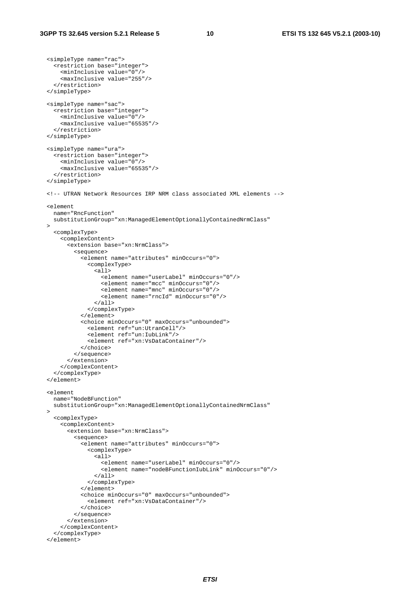```
 <simpleType name="rac"> 
     <restriction base="integer"> 
       <minInclusive value="0"/> 
       <maxInclusive value="255"/> 
     </restriction> 
   </simpleType> 
  <simpleType name="sac"> 
     <restriction base="integer"> 
       <minInclusive value="0"/> 
       <maxInclusive value="65535"/> 
     </restriction> 
   </simpleType> 
   <simpleType name="ura"> 
     <restriction base="integer"> 
       <minInclusive value="0"/> 
       <maxInclusive value="65535"/> 
     </restriction> 
  </simpleType> 
   <!-- UTRAN Network Resources IRP NRM class associated XML elements --> 
  <element 
    name="RncFunction" 
     substitutionGroup="xn:ManagedElementOptionallyContainedNrmClass" 
\rightarrow <complexType> 
       <complexContent> 
         <extension base="xn:NrmClass"> 
           <sequence> 
              <element name="attributes" minOccurs="0"> 
                <complexType> 
                  <all> 
                     <element name="userLabel" minOccurs="0"/> 
                     <element name="mcc" minOccurs="0"/> 
                     <element name="mnc" minOccurs="0"/> 
                     <element name="rncId" minOccurs="0"/> 
                  </all> 
                </complexType> 
              </element> 
              <choice minOccurs="0" maxOccurs="unbounded"> 
                <element ref="un:UtranCell"/> 
                <element ref="un:IubLink"/> 
                <element ref="xn:VsDataContainer"/> 
              </choice> 
            </sequence> 
         </extension> 
       </complexContent> 
     </complexType> 
  </element> 
   <element 
    name="NodeBFunction" 
    substitutionGroup="xn:ManagedElementOptionallyContainedNrmClass" 
\rightarrow <complexType> 
       <complexContent> 
         <extension base="xn:NrmClass"> 
           <sequence> 
              <element name="attributes" minOccurs="0"> 
                <complexType> 
                  <sub>a11></sub></sub>
                     <element name="userLabel" minOccurs="0"/> 
                     <element name="nodeBFunctionIubLink" minOccurs="0"/> 
                 \langleall\rangle </complexType> 
              </element> 
              <choice minOccurs="0" maxOccurs="unbounded"> 
                <element ref="xn:VsDataContainer"/> 
              </choice> 
           </sequence> 
         </extension> 
       </complexContent> 
     </complexType> 
   </element>
```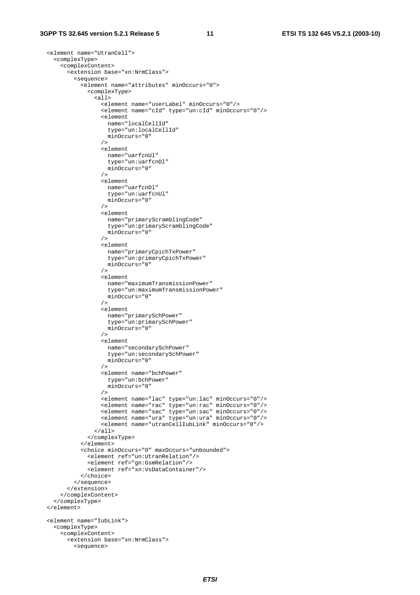```
 <element name="UtranCell"> 
    <complexType> 
      <complexContent> 
        <extension base="xn:NrmClass"> 
          <sequence> 
             <element name="attributes" minOccurs="0"> 
               <complexType> 
                \overline{311} <element name="userLabel" minOccurs="0"/> 
                   <element name="cId" type="un:cId" minOccurs="0"/> 
                   <element 
                    name="localCellId" 
                     type="un:localCellId" 
                   minOccurs="0" 
 /> 
                   <element 
                    name="uarfcnUl" 
                     type="un:uarfcnDl" 
                   minOccurs="0" 
 /> 
                   <element 
                    name="uarfcnDl" 
                     type="un:uarfcnUl" 
                   minOccurs="0" 
 /> 
                   <element 
                    name="primaryScramblingCode" 
                     type="un:primaryScramblingCode" 
                   minOccurs="0" 
 /> 
                   <element 
                    name="primaryCpichTxPower" 
                     type="un:primaryCpichTxPower" 
                   minOccurs="0" 
 /> 
                   <element 
                    name="maximumTransmissionPower" 
                     type="un:maximumTransmissionPower" 
                    minOccurs="0" 
 /> 
                   <element 
                    name="primarySchPower" 
                     type="un:primarySchPower" 
                    minOccurs="0" 
                   /> 
                   <element 
                    name="secondarySchPower" 
                     type="un:secondarySchPower" 
                    minOccurs="0" 
                   /> 
                   <element name="bchPower" 
                    type="un:bchPower" 
                    minOccurs="0" 
 /> 
                  <element name="lac" type="un:lac" minOccurs="0"/> 
 <element name="rac" type="un:rac" minOccurs="0"/> 
 <element name="sac" type="un:sac" minOccurs="0"/> 
                   <element name="ura" type="un:ura" minOccurs="0"/> 
                   <element name="utranCellIubLink" minOccurs="0"/> 
                \epsilon/all\epsilon </complexType> 
             </element> 
             <choice minOccurs="0" maxOccurs="unbounded"> 
               <element ref="un:UtranRelation"/> 
               <element ref="gn:GsmRelation"/> 
              <element ref="xn:VsDataContainer"/> 
             </choice> 
          </sequence> 
        </extension> 
      </complexContent> 
    </complexType> 
  </element> 
  <element name="IubLink"> 
    <complexType> 
      <complexContent> 
        <extension base="xn:NrmClass"> 
          <sequence>
```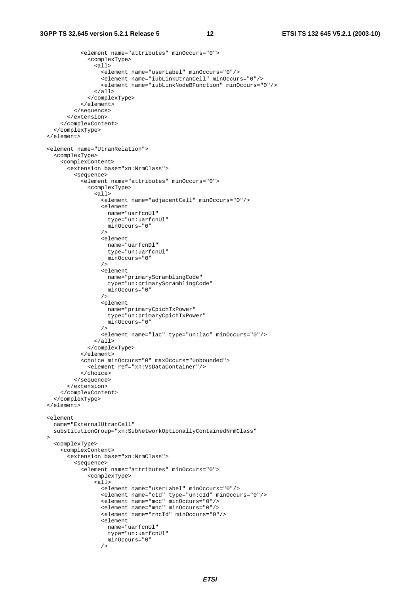```
 <element name="attributes" minOccurs="0"> 
               <complexType> 
                \overline{\text{a11}} <element name="userLabel" minOccurs="0"/> 
                   <element name="iubLinkUtranCell" minOccurs="0"/> 
                   <element name="iubLinkNodeBFunction" minOccurs="0"/> 
                 </all> 
               </complexType> 
             </element> 
           </sequence> 
         </extension> 
       </complexContent> 
    </complexType> 
  </element> 
  <element name="UtranRelation"> 
    <complexType> 
       <complexContent> 
         <extension base="xn:NrmClass"> 
           <sequence> 
             <element name="attributes" minOccurs="0"> 
               <complexType> 
                 <all> 
                   <element name="adjacentCell" minOccurs="0"/> 
                   <element 
                     name="uarfcnUl" 
                     type="un:uarfcnUl" 
                   minOccurs="0" 
 /> 
                   <element 
                     name="uarfcnDl" 
                     type="un:uarfcnUl" 
                     minOccurs="0" 
 /> 
                   <element 
                     name="primaryScramblingCode" 
                     type="un:primaryScramblingCode" 
                     minOccurs="0" 
 /> 
                   <element 
                     name="primaryCpichTxPower" 
                     type="un:primaryCpichTxPower" 
                  minOccurs="0"
 /> 
                   <element name="lac" type="un:lac" minOccurs="0"/> 
                 </all> 
               </complexType> 
             </element> 
             <choice minOccurs="0" maxOccurs="unbounded"> 
               <element ref="xn:VsDataContainer"/> 
             </choice> 
           </sequence> 
         </extension> 
       </complexContent> 
     </complexType> 
  </element> 
  <element 
    name="ExternalUtranCell" 
    substitutionGroup="xn:SubNetworkOptionallyContainedNrmClass" 
 \rightarrow <complexType> 
       <complexContent> 
         <extension base="xn:NrmClass"> 
           <sequence> 
             <element name="attributes" minOccurs="0"> 
               <complexType> 
                 <all> 
                   <element name="userLabel" minOccurs="0"/> 
                   <element name="cId" type="un:cId" minOccurs="0"/> 
                   <element name="mcc" minOccurs="0"/> 
                   <element name="mnc" minOccurs="0"/> 
                   <element name="rncId" minOccurs="0"/> 
                   <element 
                     name="uarfcnUl" 
                     type="un:uarfcnUl" 
                   minOccurs="0" 
 />
```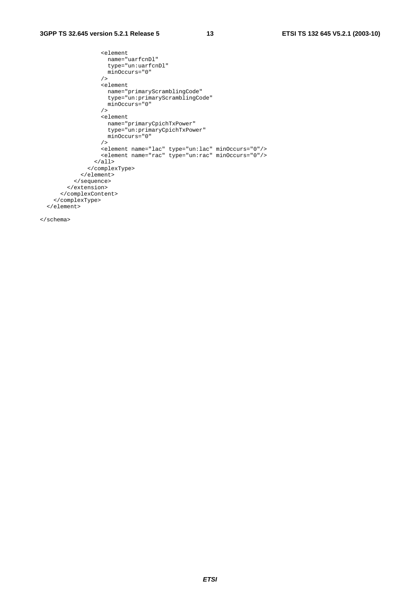#### **3GPP TS 32.645 version 5.2.1 Release 5 13 ETSI TS 132 645 V5.2.1 (2003-10)**

```
 <element 
                 name="uarfcnDl" 
                 type="un:uarfcnDl" 
                 minOccurs="0" 
               / <element 
 name="primaryScramblingCode" 
 type="un:primaryScramblingCode" 
                 minOccurs="0" 
               / <element 
 name="primaryCpichTxPower" 
 type="un:primaryCpichTxPower" 
                 minOccurs="0" 
               / <element name="lac" type="un:lac" minOccurs="0"/> 
 <element name="rac" type="un:rac" minOccurs="0"/> 
             \langleall\rangle </complexType> 
           </element> 
         </sequence> 
       </extension> 
     </complexContent> 
    </complexType> 
  </element>
```
</schema>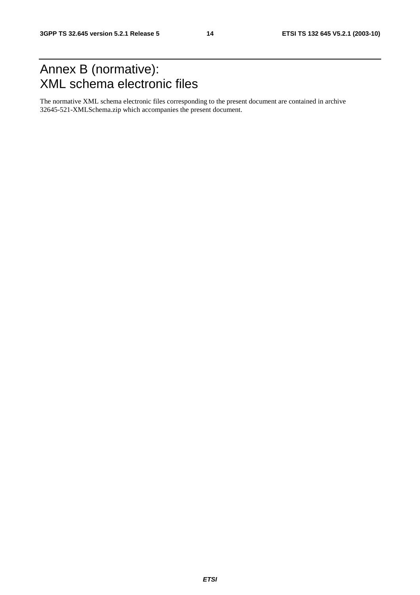### Annex B (normative): XML schema electronic files

The normative XML schema electronic files corresponding to the present document are contained in archive 32645-521-XMLSchema.zip which accompanies the present document.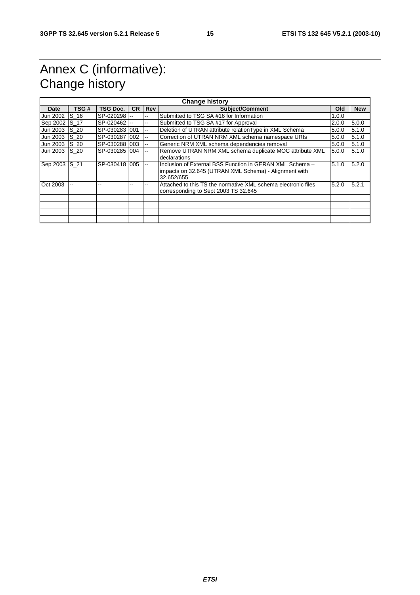### Annex C (informative): Change history

| <b>Change history</b> |             |                 |           |                          |                                                                                                                                 |       |            |
|-----------------------|-------------|-----------------|-----------|--------------------------|---------------------------------------------------------------------------------------------------------------------------------|-------|------------|
| Date                  | TSG #       | <b>TSG Doc.</b> | <b>CR</b> | <b>Rev</b>               | <b>Subject/Comment</b>                                                                                                          | Old   | <b>New</b> |
| Jun 2002              | S 16        | SP-020298 --    |           | --                       | Submitted to TSG SA #16 for Information                                                                                         | 1.0.0 |            |
| Sep 2002 S_17         |             | SP-020462 --    |           | --                       | Submitted to TSG SA #17 for Approval                                                                                            | 2.0.0 | 5.0.0      |
| Jun 2003              | $S_2$       | SP-030283 001   |           | --                       | Deletion of UTRAN attribute relation Type in XML Schema                                                                         | 5.0.0 | 5.1.0      |
| Jun 2003              | S 20        | SP-030287 002   |           | $\overline{\phantom{a}}$ | Correction of UTRAN NRM XML schema namespace URIs                                                                               | 5.0.0 | 5.1.0      |
| Jun 2003              | S 20        | SP-030288 003   |           | --                       | Generic NRM XML schema dependencies removal                                                                                     | 5.0.0 | 5.1.0      |
| Jun 2003              | <b>S</b> 20 | SP-030285 004   |           | $\mathbf{u}$             | Remove UTRAN NRM XML schema duplicate MOC attribute XML<br>declarations                                                         | 5.0.0 | 5.1.0      |
| Sep 2003 S 21         |             | SP-030418 005   |           | $\overline{\phantom{a}}$ | Inclusion of External BSS Function in GERAN XML Schema -<br>impacts on 32.645 (UTRAN XML Schema) - Alignment with<br>32.652/655 | 5.1.0 | 5.2.0      |
| Oct 2003              |             |                 |           |                          | Attached to this TS the normative XML schema electronic files<br>corresponding to Sept 2003 TS 32.645                           | 5.2.0 | 5.2.1      |
|                       |             |                 |           |                          |                                                                                                                                 |       |            |
|                       |             |                 |           |                          |                                                                                                                                 |       |            |
|                       |             |                 |           |                          |                                                                                                                                 |       |            |
|                       |             |                 |           |                          |                                                                                                                                 |       |            |